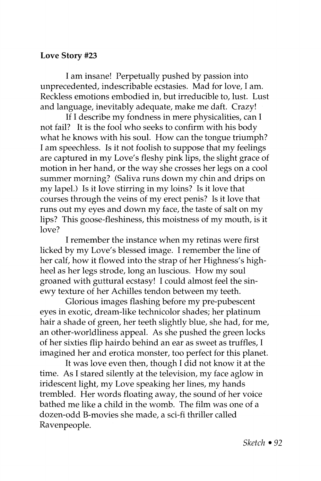## **Love Story #23**

**I** am insane! Perpetually pushed by passion into unprecedented, indescribable ecstasies. Mad for love, I am. Reckless emotions embodied in, but irreducible to, lust. Lust and language, inevitably adequate, make me daft. Crazy!

If I describe my fondness in mere physicalities, can I not fail? It is the fool who seeks to confirm with his body what he knows with his soul. How can the tongue triumph? I am speechless. Is it not foolish to suppose that my feelings are captured in my Love's fleshy pink lips, the slight grace of motion in her hand, or the way she crosses her legs on a cool summer morning? (Saliva runs down my chin and drips on my lapel.) Is it love stirring in my loins? Is it love that courses through the veins of my erect penis? Is it love that runs out my eyes and down my face, the taste of salt on my lips? This goose-fleshiness, this moistness of my mouth, is it love?

I remember the instance when my retinas were first licked by my Love's blessed image. I remember the line of her calf, how it flowed into the strap of her Highness's highheel as her legs strode, long an luscious. How my soul groaned with guttural ecstasy! I could almost feel the sinewy texture of her Achilles tendon between my teeth.

Glorious images flashing before my pre-pubescent eyes in exotic, dream-like technicolor shades; her platinum hair a shade of green, her teeth slightly blue, she had, for me, an other-worldliness appeal. As she pushed the green locks of her sixties flip hairdo behind an ear as sweet as truffles, I imagined her and erotica monster, too perfect for this planet.

It was love even then, though I did not know it at the time. As I stared silently at the television, my face aglow in iridescent light, my Love speaking her lines, my hands trembled. Her words floating away, the sound of her voice bathed me like a child in the womb. The film was one of a dozen-odd B-movies she made, a sci-fi thriller called Ravenpeople.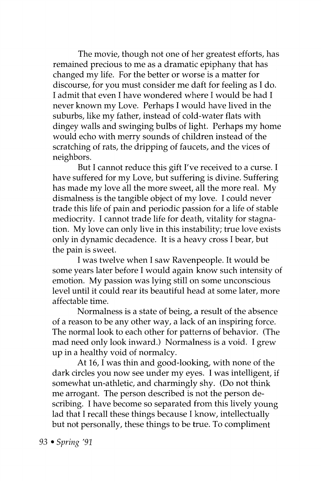The movie, though not one of her greatest efforts, has remained precious to me as a dramatic epiphany that has changed my life. For the better or worse is a matter for discourse, for you must consider me daft for feeling as I do. I admit that even I have wondered where I would be had I never known my Love. Perhaps I would have lived in the suburbs, like my father, instead of cold-water flats with dingey walls and swinging bulbs of light. Perhaps my home would echo with merry sounds of children instead of the scratching of rats, the dripping of faucets, and the vices of neighbors.

But I cannot reduce this gift I've received to a curse. I have suffered for my Love, but suffering is divine. Suffering has made my love all the more sweet, all the more real. My dismalness is the tangible object of my love. I could never trade this life of pain and periodic passion for a life of stable mediocrity. I cannot trade life for death, vitality for stagnation. My love can only live in this instability; true love exists only in dynamic decadence. It is a heavy cross I bear, but the pain is sweet.

I was twelve when I saw Ravenpeople. It would be some years later before I would again know such intensity of emotion. My passion was lying still on some unconscious level until it could rear its beautiful head at some later, more affectable time.

Normalness is a state of being, a result of the absence of a reason to be any other way, a lack of an inspiring force. The normal look to each other for patterns of behavior. (The mad need only look inward.) Normalness is a void. I grew up in a healthy void of normalcy.

At 16, I was thin and good-looking, with none of the dark circles you now see under my eyes. I was intelligent, if somewhat un-athletic, and charmingly shy. (Do not think me arrogant. The person described is not the person describing. I have become so separated from this lively young lad that I recall these things because I know, intellectually but not personally, these things to be true. To compliment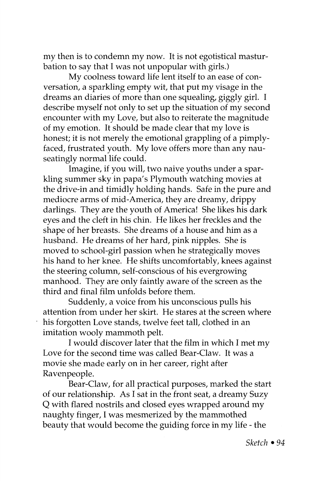my then is to condemn my now. It is not egotistical masturbation to say that I was not unpopular with girls.)

My coolness toward life lent itself to an ease of conversation, a sparkling empty wit, that put my visage in the dreams an diaries of more than one squealing, giggly girl. I describe myself not only to set up the situation of my second encounter with my Love, but also to reiterate the magnitude of my emotion. It should be made clear that my love is honest; it is not merely the emotional grappling of a pimplyfaced, frustrated youth. My love offers more than any nauseatingly normal life could.

Imagine, if you will, two naive youths under a sparkling summer sky in papa's Plymouth watching movies at the drive-in and timidly holding hands. Safe in the pure and mediocre arms of mid-America, they are dreamy, drippy darlings. They are the youth of America! She likes his dark eyes and the cleft in his chin. He likes her freckles and the shape of her breasts. She dreams of a house and him as a husband. He dreams of her hard, pink nipples. She is moved to school-girl passion when he strategically moves his hand to her knee. He shifts uncomfortably, knees against the steering column, self-conscious of his evergrowing manhood. They are only faintly aware of the screen as the third and final film unfolds before them.

Suddenly, a voice from his unconscious pulls his attention from under her skirt. He stares at the screen where his forgotten Love stands, twelve feet tall, clothed in an imitation wooly mammoth pelt.

I would discover later that the film in which I met my Love for the second time was called Bear-Claw. It was a movie she made early on in her career, right after Ravenpeople.

Bear-Claw, for all practical purposes, marked the start of our relationship. As I sat in the front seat, a dreamy Suzy Q with flared nostrils and closed eyes wrapped around my naughty finger, I was mesmerized by the mammothed beauty that would become the guiding force in my life - the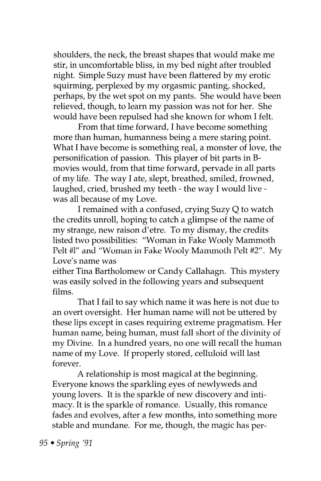shoulders, the neck, the breast shapes that would make me stir, in uncomfortable bliss, in my bed night after troubled night. Simple Suzy must have been flattered by my erotic squirming, perplexed by my orgasmic panting, shocked, perhaps, by the wet spot on my pants. She would have been relieved, though, to learn my passion was not for her. She would have been repulsed had she known for whom I felt.

From that time forward, I have become something more than human, humanness being a mere staring point. What I have become is something real, a monster of love, the personification of passion. This player of bit parts in Bmovies would, from that time forward, pervade in all parts of my life. The way I ate, slept, breathed, smiled, frowned, laughed, cried, brushed my teeth - the way I would live was all because of my Love.

I remained with a confused, crying Suzy Q to watch the credits unroll, hoping to catch a glimpse of the name of my strange, new raison d'etre. To my dismay, the credits listed two possibilities: "Woman in Fake Wooly Mammoth Pelt #1" and "Woman in Fake Wooly Mammoth Pelt #2". My Love's name was

either Tina Bartholomew or Candy Callahagn. This mystery was easily solved in the following years and subsequent films.

That I fail to say which name it was here is not due to an overt oversight. Her human name will not be uttered by these lips except in cases requiring extreme pragmatism. Her human name, being human, must fall short of the divinity of my Divine. In a hundred years, no one will recall the human name of my Love. If properly stored, celluloid will last forever.

A relationship is most magical at the beginning. Everyone knows the sparkling eyes of newlyweds and young lovers. It is the sparkle of new discovery and intimacy. It is the sparkle of romance. Usually, this romance fades and evolves, after a few months, into something more stable and mundane. For me, though, the magic has per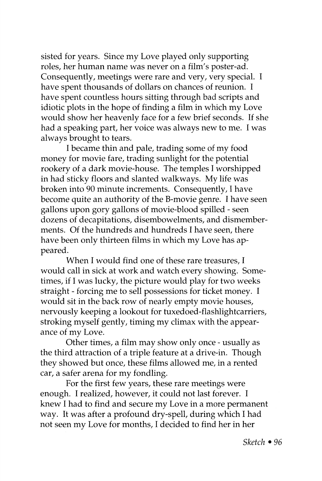sisted for years. Since my Love played only supporting roles, her human name was never on a film's poster-ad. Consequently, meetings were rare and very, very special. I have spent thousands of dollars on chances of reunion. I have spent countless hours sitting through bad scripts and idiotic plots in the hope of finding a film in which my Love would show her heavenly face for a few brief seconds. If she had a speaking part, her voice was always new to me. I was always brought to tears.

I became thin and pale, trading some of my food money for movie fare, trading sunlight for the potential rookery of a dark movie-house. The temples I worshipped in had sticky floors and slanted walkways. My life was broken into 90 minute increments. Consequently, I have become quite an authority of the B-movie genre. I have seen gallons upon gory gallons of movie-blood spilled - seen dozens of decapitations, disembowelments, and dismemberments. Of the hundreds and hundreds I have seen, there have been only thirteen films in which my Love has appeared.

When I would find one of these rare treasures, I would call in sick at work and watch every showing. Sometimes, if I was lucky, the picture would play for two weeks straight - forcing me to sell possessions for ticket money. I would sit in the back row of nearly empty movie houses, nervously keeping a lookout for tuxedoed-flashlightcarriers, stroking myself gently, timing my climax with the appearance of my Love.

Other times, a film may show only once - usually as the third attraction of a triple feature at a drive-in. Though they showed but once, these films allowed me, in a rented car, a safer arena for my fondling.

For the first few years, these rare meetings were enough. I realized, however, it could not last forever. I knew I had to find and secure my Love in a more permanent way. It was after a profound dry-spell, during which I had not seen my Love for months, I decided to find her in her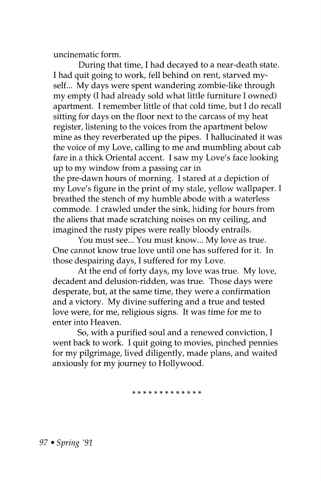uncinematic form.

During that time, I had decayed to a near-death state. I had quit going to work, fell behind on rent, starved myself... My days were spent wandering zombie-like through my empty (I had already sold what little furniture I owned) apartment. I remember little of that cold time, but I do recall sitting for days on the floor next to the carcass of my heat register, listening to the voices from the apartment below mine as they reverberated up the pipes. I hallucinated it was the voice of my Love, calling to me and mumbling about cab fare in a thick Oriental accent. I saw my Love's face looking up to my window from a passing car in

the pre-dawn hours of morning. I stared at a depiction of my Love's figure in the print of my stale, yellow wallpaper. I breathed the stench of my humble abode with a waterless commode. I crawled under the sink, hiding for hours from the aliens that made scratching noises on my ceiling, and imagined the rusty pipes were really bloody entrails.

You must see... You must know... My love as true. One cannot know true love until one has suffered for it. In those despairing days, I suffered for my Love.

At the end of forty days, my love was true. My love, decadent and delusion-ridden, was true. Those days were desperate, but, at the same time, they were a confirmation and a victory. My divine suffering and a true and tested love were, for me, religious signs. It was time for me to enter into Heaven.

So, with a purified soul and a renewed conviction, I went back to work. I quit going to movies, pinched pennies for my pilgrimage, lived diligently, made plans, and waited anxiously for my journey to Hollywood.

**\*\*\*\*\*\*\*\*\*\*\*\* \*** 

*97 • Spring '91*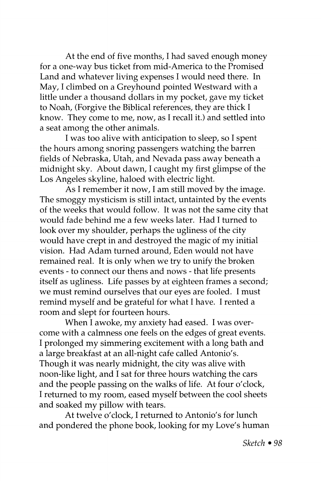At the end of five months, I had saved enough money for a one-way bus ticket from mid-America to the Promised Land and whatever living expenses I would need there. In May, I climbed on a Greyhound pointed Westward with a little under a thousand dollars in my pocket, gave my ticket to Noah, (Forgive the Biblical references, they are thick I know. They come to me, now, as I recall it.) and settled into a seat among the other animals.

I was too alive with anticipation to sleep, so I spent the hours among snoring passengers watching the barren fields of Nebraska, Utah, and Nevada pass away beneath a midnight sky. About dawn, I caught my first glimpse of the Los Angeles skyline, haloed with electric light.

As I remember it now, I am still moved by the image. The smoggy mysticism is still intact, untainted by the events of the weeks that would follow. It was not the same city that would fade behind me a few weeks later. Had I turned to look over my shoulder, perhaps the ugliness of the city would have crept in and destroyed the magic of my initial vision. Had Adam turned around, Eden would not have remained real. It is only when we try to unify the broken events - to connect our thens and nows - that life presents itself as ugliness. Life passes by at eighteen frames a second; we must remind ourselves that our eyes are fooled. I must remind myself and be grateful for what I have. I rented a room and slept for fourteen hours.

When I awoke, my anxiety had eased. I was overcome with a calmness one feels on the edges of great events. I prolonged my simmering excitement with a long bath and a large breakfast at an all-night cafe called Antonio's. Though it was nearly midnight, the city was alive with noon-like light, and I sat for three hours watching the cars and the people passing on the walks of life. At four o'clock, I returned to my room, eased myself between the cool sheets and soaked my pillow with tears.

At twelve o'clock, I returned to Antonio's for lunch and pondered the phone book, looking for my Love's human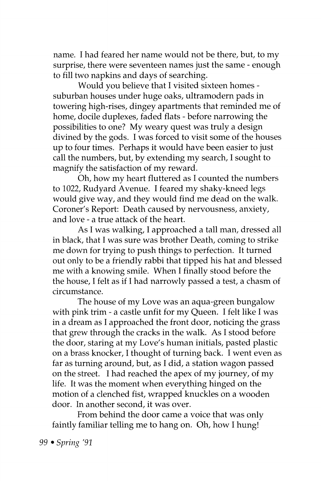name. I had feared her name would not be there, but, to my surprise, there were seventeen names just the same - enough to fill two napkins and days of searching.

Would you believe that I visited sixteen homes suburban houses under huge oaks, ultramodern pads in towering high-rises, dingey apartments that reminded me of home, docile duplexes, faded flats - before narrowing the possibilities to one? My weary quest was truly a design divined by the gods. I was forced to visit some of the houses up to four times. Perhaps it would have been easier to just call the numbers, but, by extending my search, I sought to magnify the satisfaction of my reward.

Oh, how my heart fluttered as I counted the numbers to 1022, Rudyard Avenue. I feared my shaky-kneed legs would give way, and they would find me dead on the walk. Coroner's Report: Death caused by nervousness, anxiety, and love - a true attack of the heart.

As I was walking, I approached a tall man, dressed all in black, that I was sure was brother Death, coming to strike me down for trying to push things to perfection. It turned out only to be a friendly rabbi that tipped his hat and blessed me with a knowing smile. When I finally stood before the the house, I felt as if I had narrowly passed a test, a chasm of circumstance.

The house of my Love was an aqua-green bungalow with pink trim - a castle unfit for my Queen. I felt like I was in a dream as I approached the front door, noticing the grass that grew through the cracks in the walk. As I stood before the door, staring at my Love's human initials, pasted plastic on a brass knocker, I thought of turning back. I went even as far as turning around, but, as I did, a station wagon passed on the street. I had reached the apex of my journey, of my life. It was the moment when everything hinged on the motion of a clenched fist, wrapped knuckles on a wooden door. In another second, it was over.

From behind the door came a voice that was only faintly familiar telling me to hang on. Oh, how I hung!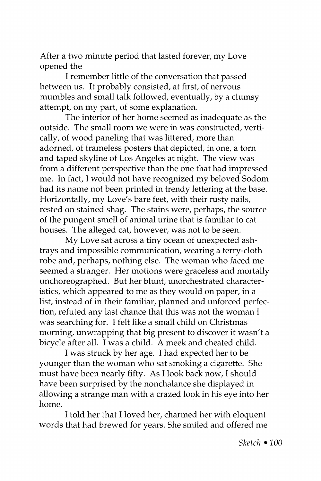After a two minute period that lasted forever, my Love opened the

I remember little of the conversation that passed between us. It probably consisted, at first, of nervous mumbles and small talk followed, eventually, by a clumsy attempt, on my part, of some explanation.

The interior of her home seemed as inadequate as the outside. The small room we were in was constructed, vertically, of wood paneling that was littered, more than adorned, of frameless posters that depicted, in one, a torn and taped skyline of Los Angeles at night. The view was from a different perspective than the one that had impressed me. In fact, I would not have recognized my beloved Sodom had its name not been printed in trendy lettering at the base. Horizontally, my Love's bare feet, with their rusty nails, rested on stained shag. The stains were, perhaps, the source of the pungent smell of animal urine that is familiar to cat houses. The alleged cat, however, was not to be seen.

My Love sat across a tiny ocean of unexpected ashtrays and impossible communication, wearing a terry-cloth robe and, perhaps, nothing else. The woman who faced me seemed a stranger. Her motions were graceless and mortally unchoreographed. But her blunt, unorchestrated characteristics, which appeared to me as they would on paper, in a list, instead of in their familiar, planned and unforced perfection, refuted any last chance that this was not the woman I was searching for. I felt like a small child on Christmas morning, unwrapping that big present to discover it wasn't a bicycle after all. I was a child. A meek and cheated child.

I was struck by her age. I had expected her to be younger than the woman who sat smoking a cigarette. She must have been nearly fifty. As I look back now, I should have been surprised by the nonchalance she displayed in allowing a strange man with a crazed look in his eye into her home.

I told her that I loved her, charmed her with eloquent words that had brewed for years. She smiled and offered me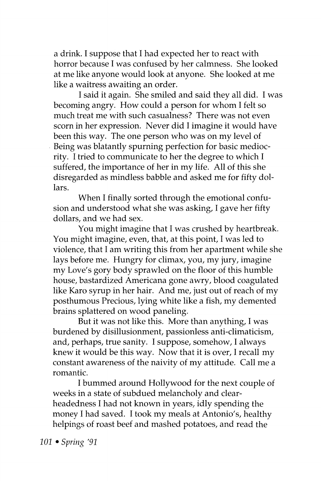a drink. I suppose that I had expected her to react with horror because I was confused by her calmness. She looked at me like anyone would look at anyone. She looked at me like a waitress awaiting an order.

I said it again. She smiled and said they all did. I was becoming angry. How could a person for whom I felt so much treat me with such casualness? There was not even scorn in her expression. Never did I imagine it would have been this way. The one person who was on my level of Being was blatantly spurning perfection for basic mediocrity. I tried to communicate to her the degree to which I suffered, the importance of her in my life. All of this she disregarded as mindless babble and asked me for fifty dollars.

When I finally sorted through the emotional confusion and understood what she was asking, I gave her fifty dollars, and we had sex.

You might imagine that I was crushed by heartbreak. You might imagine, even, that, at this point, I was led to violence, that I am writing this from her apartment while she lays before me. Hungry for climax, you, my jury, imagine my Love's gory body sprawled on the floor of this humble house, bastardized Americana gone awry, blood coagulated like Karo syrup in her hair. And me, just out of reach of my posthumous Precious, lying white like a fish, my demented brains splattered on wood paneling.

But it was not like this. More than anything, I was burdened by disillusionment, passionless anti-climaticism, and, perhaps, true sanity. I suppose, somehow, I always knew it would be this way. Now that it is over, I recall my constant awareness of the naivity of my attitude. Call me a romantic.

I bummed around Hollywood for the next couple of weeks in a state of subdued melancholy and clearheadedness I had not known in years, idly spending the money I had saved. I took my meals at Antonio's, healthy helpings of roast beef and mashed potatoes, and read the